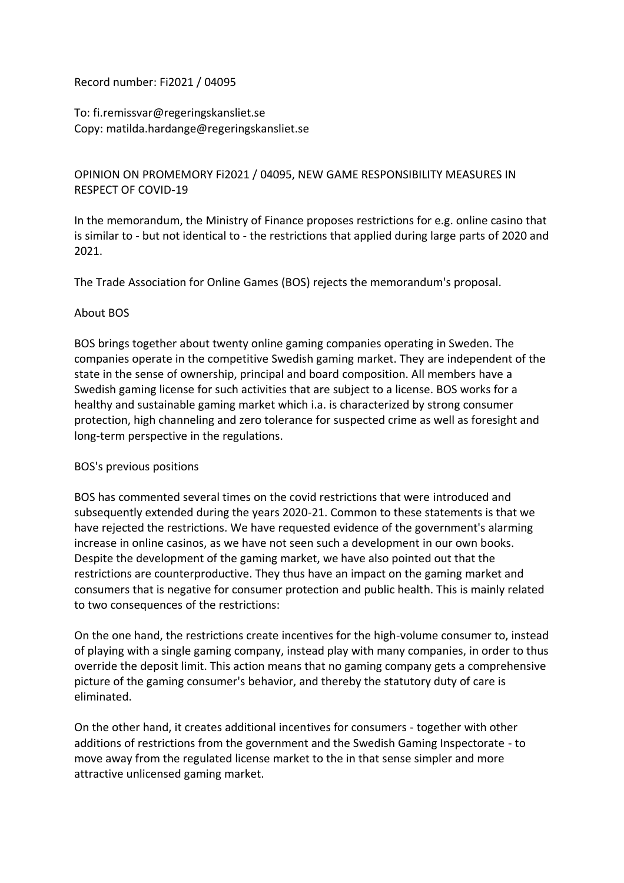Record number: Fi2021 / 04095

To: fi.remissvar@regeringskansliet.se Copy: matilda.hardange@regeringskansliet.se

## OPINION ON PROMEMORY Fi2021 / 04095, NEW GAME RESPONSIBILITY MEASURES IN RESPECT OF COVID-19

In the memorandum, the Ministry of Finance proposes restrictions for e.g. online casino that is similar to - but not identical to - the restrictions that applied during large parts of 2020 and 2021.

The Trade Association for Online Games (BOS) rejects the memorandum's proposal.

#### About BOS

BOS brings together about twenty online gaming companies operating in Sweden. The companies operate in the competitive Swedish gaming market. They are independent of the state in the sense of ownership, principal and board composition. All members have a Swedish gaming license for such activities that are subject to a license. BOS works for a healthy and sustainable gaming market which i.a. is characterized by strong consumer protection, high channeling and zero tolerance for suspected crime as well as foresight and long-term perspective in the regulations.

#### BOS's previous positions

BOS has commented several times on the covid restrictions that were introduced and subsequently extended during the years 2020-21. Common to these statements is that we have rejected the restrictions. We have requested evidence of the government's alarming increase in online casinos, as we have not seen such a development in our own books. Despite the development of the gaming market, we have also pointed out that the restrictions are counterproductive. They thus have an impact on the gaming market and consumers that is negative for consumer protection and public health. This is mainly related to two consequences of the restrictions:

On the one hand, the restrictions create incentives for the high-volume consumer to, instead of playing with a single gaming company, instead play with many companies, in order to thus override the deposit limit. This action means that no gaming company gets a comprehensive picture of the gaming consumer's behavior, and thereby the statutory duty of care is eliminated.

On the other hand, it creates additional incentives for consumers - together with other additions of restrictions from the government and the Swedish Gaming Inspectorate - to move away from the regulated license market to the in that sense simpler and more attractive unlicensed gaming market.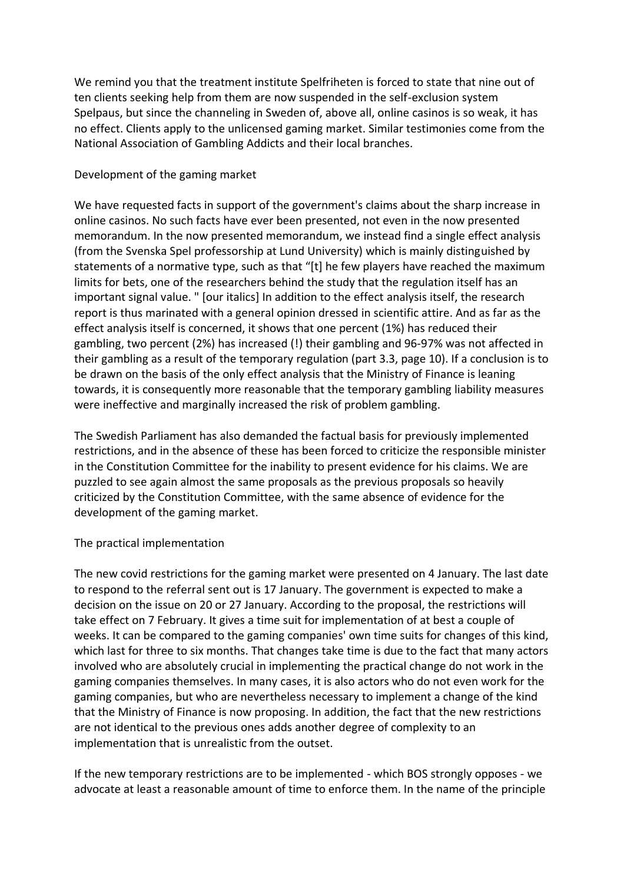We remind you that the treatment institute Spelfriheten is forced to state that nine out of ten clients seeking help from them are now suspended in the self-exclusion system Spelpaus, but since the channeling in Sweden of, above all, online casinos is so weak, it has no effect. Clients apply to the unlicensed gaming market. Similar testimonies come from the National Association of Gambling Addicts and their local branches.

#### Development of the gaming market

We have requested facts in support of the government's claims about the sharp increase in online casinos. No such facts have ever been presented, not even in the now presented memorandum. In the now presented memorandum, we instead find a single effect analysis (from the Svenska Spel professorship at Lund University) which is mainly distinguished by statements of a normative type, such as that "[t] he few players have reached the maximum limits for bets, one of the researchers behind the study that the regulation itself has an important signal value. " [our italics] In addition to the effect analysis itself, the research report is thus marinated with a general opinion dressed in scientific attire. And as far as the effect analysis itself is concerned, it shows that one percent (1%) has reduced their gambling, two percent (2%) has increased (!) their gambling and 96-97% was not affected in their gambling as a result of the temporary regulation (part 3.3, page 10). If a conclusion is to be drawn on the basis of the only effect analysis that the Ministry of Finance is leaning towards, it is consequently more reasonable that the temporary gambling liability measures were ineffective and marginally increased the risk of problem gambling.

The Swedish Parliament has also demanded the factual basis for previously implemented restrictions, and in the absence of these has been forced to criticize the responsible minister in the Constitution Committee for the inability to present evidence for his claims. We are puzzled to see again almost the same proposals as the previous proposals so heavily criticized by the Constitution Committee, with the same absence of evidence for the development of the gaming market.

# The practical implementation

The new covid restrictions for the gaming market were presented on 4 January. The last date to respond to the referral sent out is 17 January. The government is expected to make a decision on the issue on 20 or 27 January. According to the proposal, the restrictions will take effect on 7 February. It gives a time suit for implementation of at best a couple of weeks. It can be compared to the gaming companies' own time suits for changes of this kind, which last for three to six months. That changes take time is due to the fact that many actors involved who are absolutely crucial in implementing the practical change do not work in the gaming companies themselves. In many cases, it is also actors who do not even work for the gaming companies, but who are nevertheless necessary to implement a change of the kind that the Ministry of Finance is now proposing. In addition, the fact that the new restrictions are not identical to the previous ones adds another degree of complexity to an implementation that is unrealistic from the outset.

If the new temporary restrictions are to be implemented - which BOS strongly opposes - we advocate at least a reasonable amount of time to enforce them. In the name of the principle